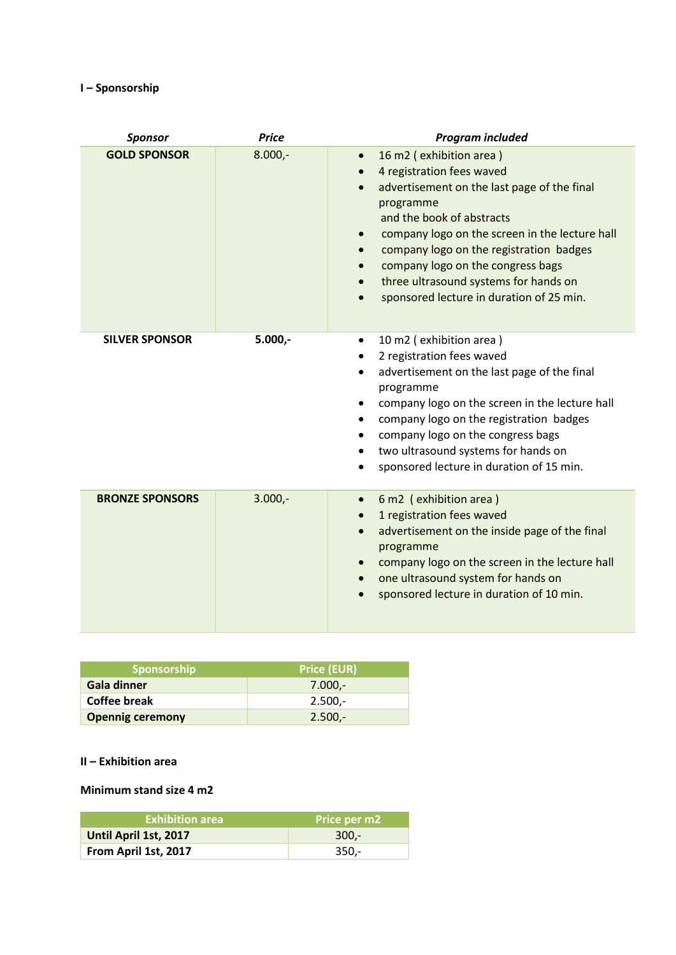## **I – Sponsorship**

| <b>Sponsor</b>         | <b>Price</b> | <b>Program included</b>                                                                                                                                                                                                                                                                                                                                                                                                  |
|------------------------|--------------|--------------------------------------------------------------------------------------------------------------------------------------------------------------------------------------------------------------------------------------------------------------------------------------------------------------------------------------------------------------------------------------------------------------------------|
| <b>GOLD SPONSOR</b>    | $8.000,-$    | 16 m2 (exhibition area)<br>$\bullet$<br>4 registration fees waved<br>$\bullet$<br>advertisement on the last page of the final<br>programme<br>and the book of abstracts<br>company logo on the screen in the lecture hall<br>$\bullet$<br>company logo on the registration badges<br>$\bullet$<br>company logo on the congress bags<br>three ultrasound systems for hands on<br>sponsored lecture in duration of 25 min. |
| <b>SILVER SPONSOR</b>  | $5.000,-$    | 10 m2 (exhibition area)<br>$\bullet$<br>2 registration fees waved<br>٠<br>advertisement on the last page of the final<br>programme<br>company logo on the screen in the lecture hall<br>$\bullet$<br>company logo on the registration badges<br>٠<br>company logo on the congress bags<br>two ultrasound systems for hands on<br>sponsored lecture in duration of 15 min.<br>$\bullet$                                   |
| <b>BRONZE SPONSORS</b> | $3.000,-$    | 6 m2 (exhibition area)<br>$\bullet$<br>1 registration fees waved<br>$\bullet$<br>advertisement on the inside page of the final<br>$\bullet$<br>programme<br>company logo on the screen in the lecture hall<br>$\bullet$<br>one ultrasound system for hands on<br>$\bullet$<br>sponsored lecture in duration of 10 min.                                                                                                   |

| <b>Sponsorship</b>      | <b>Price (EUR)</b> |  |
|-------------------------|--------------------|--|
| Gala dinner             | 7.000.-            |  |
| Coffee break            | $2.500 -$          |  |
| <b>Opennig ceremony</b> | $2.500 -$          |  |

## **II – Exhibition area**

## **Minimum stand size 4 m2**

| <b>Exhibition area</b> | Price per m2 |
|------------------------|--------------|
| Until April 1st, 2017  | $300 -$      |
| From April 1st, 2017   | -350.-       |